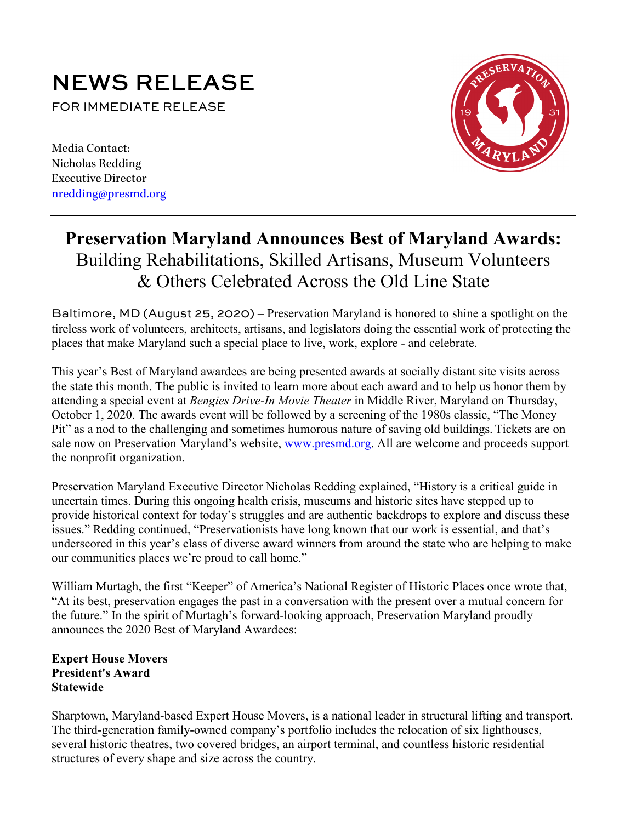# **NEWS RELEASE**<br>FOR IMMEDIATE RELEASE

Media Contact: Nicholas Redding Executive Director [nredding@presmd.org](mailto:nredding@presmd.org)



# **Preservation Maryland Announces Best of Maryland Awards:**  Building Rehabilitations, Skilled Artisans, Museum Volunteers & Others Celebrated Across the Old Line State

Baltimore, MD (August 25, 2020) – Preservation Maryland is honored to shine a spotlight on the tireless work of volunteers, architects, artisans, and legislators doing the essential work of protecting the places that make Maryland such a special place to live, work, explore - and celebrate.

This year's Best of Maryland awardees are being presented awards at socially distant site visits across the state this month. The public is invited to learn more about each award and to help us honor them by attending a special event at *Bengies Drive-In Movie Theater* in Middle River, Maryland on Thursday, October 1, 2020. The awards event will be followed by a screening of the 1980s classic, "The Money Pit" as a nod to the challenging and sometimes humorous nature of saving old buildings. Tickets are on sale now on Preservation Maryland's website, [www.presmd.org.](http://www.presmd.org/) All are welcome and proceeds support the nonprofit organization.

Preservation Maryland Executive Director Nicholas Redding explained, "History is a critical guide in uncertain times. During this ongoing health crisis, museums and historic sites have stepped up to provide historical context for today's struggles and are authentic backdrops to explore and discuss these issues." Redding continued, "Preservationists have long known that our work is essential, and that's underscored in this year's class of diverse award winners from around the state who are helping to make our communities places we're proud to call home."

William Murtagh, the first "Keeper" of America's National Register of Historic Places once wrote that, "At its best, preservation engages the past in a conversation with the present over a mutual concern for the future." In the spirit of Murtagh's forward-looking approach, Preservation Maryland proudly announces the 2020 Best of Maryland Awardees:

# **Expert House Movers President's Award Statewide**

Sharptown, Maryland-based Expert House Movers, is a national leader in structural lifting and transport. The third-generation family-owned company's portfolio includes the relocation of six lighthouses, several historic theatres, two covered bridges, an airport terminal, and countless historic residential structures of every shape and size across the country.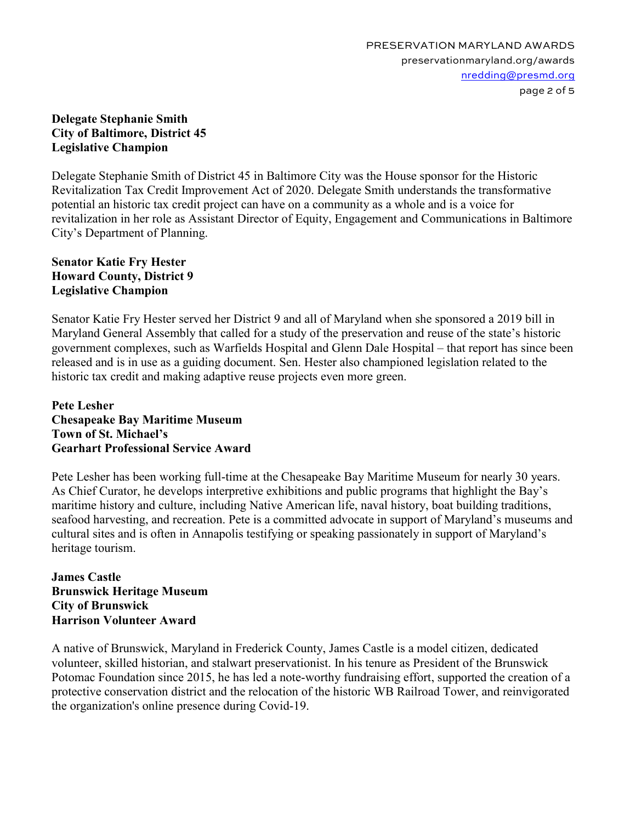#### **Delegate Stephanie Smith City of Baltimore, District 45 Legislative Champion**

Delegate Stephanie Smith of District 45 in Baltimore City was the House sponsor for the Historic Revitalization Tax Credit Improvement Act of 2020. Delegate Smith understands the transformative potential an historic tax credit project can have on a community as a whole and is a voice for revitalization in her role as Assistant Director of Equity, Engagement and Communications in Baltimore City's Department of Planning.

### **Senator Katie Fry Hester Howard County, District 9 Legislative Champion**

Senator Katie Fry Hester served her District 9 and all of Maryland when she sponsored a 2019 bill in Maryland General Assembly that called for a study of the preservation and reuse of the state's historic government complexes, such as Warfields Hospital and Glenn Dale Hospital – that report has since been released and is in use as a guiding document. Sen. Hester also championed legislation related to the historic tax credit and making adaptive reuse projects even more green.

#### **Pete Lesher Chesapeake Bay Maritime Museum Town of St. Michael's Gearhart Professional Service Award**

Pete Lesher has been working full-time at the Chesapeake Bay Maritime Museum for nearly 30 years. As Chief Curator, he develops interpretive exhibitions and public programs that highlight the Bay's maritime history and culture, including Native American life, naval history, boat building traditions, seafood harvesting, and recreation. Pete is a committed advocate in support of Maryland's museums and cultural sites and is often in Annapolis testifying or speaking passionately in support of Maryland's heritage tourism.

#### **James Castle Brunswick Heritage Museum City of Brunswick Harrison Volunteer Award**

A native of Brunswick, Maryland in Frederick County, James Castle is a model citizen, dedicated volunteer, skilled historian, and stalwart preservationist. In his tenure as President of the Brunswick Potomac Foundation since 2015, he has led a note-worthy fundraising effort, supported the creation of a protective conservation district and the relocation of the historic WB Railroad Tower, and reinvigorated the organization's online presence during Covid-19.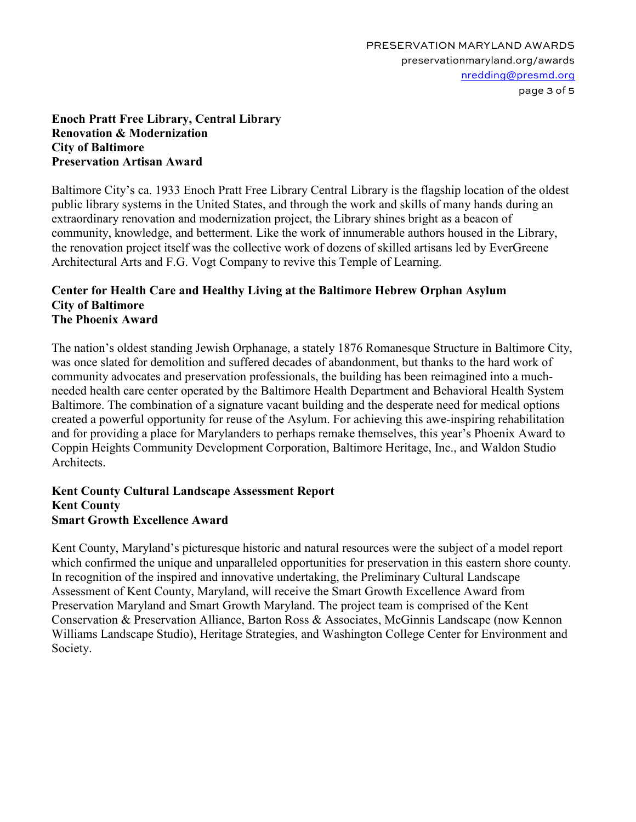#### **Enoch Pratt Free Library, Central Library Renovation & Modernization City of Baltimore Preservation Artisan Award**

Baltimore City's ca. 1933 Enoch Pratt Free Library Central Library is the flagship location of the oldest public library systems in the United States, and through the work and skills of many hands during an extraordinary renovation and modernization project, the Library shines bright as a beacon of community, knowledge, and betterment. Like the work of innumerable authors housed in the Library, the renovation project itself was the collective work of dozens of skilled artisans led by EverGreene Architectural Arts and F.G. Vogt Company to revive this Temple of Learning.

#### **Center for Health Care and Healthy Living at the Baltimore Hebrew Orphan Asylum City of Baltimore The Phoenix Award**

The nation's oldest standing Jewish Orphanage, a stately 1876 Romanesque Structure in Baltimore City, was once slated for demolition and suffered decades of abandonment, but thanks to the hard work of community advocates and preservation professionals, the building has been reimagined into a muchneeded health care center operated by the Baltimore Health Department and Behavioral Health System Baltimore. The combination of a signature vacant building and the desperate need for medical options created a powerful opportunity for reuse of the Asylum. For achieving this awe-inspiring rehabilitation and for providing a place for Marylanders to perhaps remake themselves, this year's Phoenix Award to Coppin Heights Community Development Corporation, Baltimore Heritage, Inc., and Waldon Studio Architects.

#### **Kent County Cultural Landscape Assessment Report Kent County Smart Growth Excellence Award**

Kent County, Maryland's picturesque historic and natural resources were the subject of a model report which confirmed the unique and unparalleled opportunities for preservation in this eastern shore county. In recognition of the inspired and innovative undertaking, the Preliminary Cultural Landscape Assessment of Kent County, Maryland, will receive the Smart Growth Excellence Award from Preservation Maryland and Smart Growth Maryland. The project team is comprised of the Kent Conservation & Preservation Alliance, Barton Ross & Associates, McGinnis Landscape (now Kennon Williams Landscape Studio), Heritage Strategies, and Washington College Center for Environment and Society.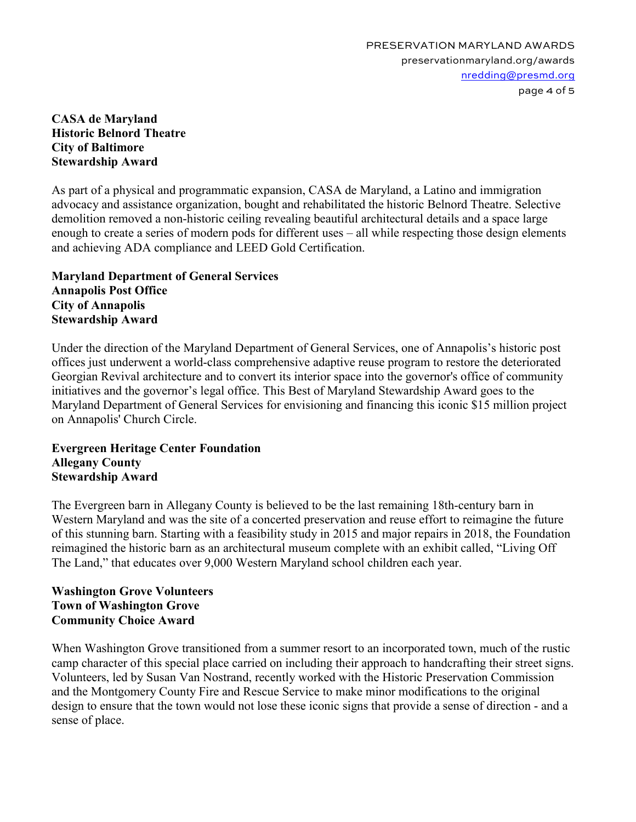#### **CASA de Maryland Historic Belnord Theatre City of Baltimore Stewardship Award**

As part of a physical and programmatic expansion, CASA de Maryland, a Latino and immigration advocacy and assistance organization, bought and rehabilitated the historic Belnord Theatre. Selective demolition removed a non-historic ceiling revealing beautiful architectural details and a space large enough to create a series of modern pods for different uses – all while respecting those design elements and achieving ADA compliance and LEED Gold Certification.

#### **Maryland Department of General Services Annapolis Post Office City of Annapolis Stewardship Award**

Under the direction of the Maryland Department of General Services, one of Annapolis's historic post offices just underwent a world-class comprehensive adaptive reuse program to restore the deteriorated Georgian Revival architecture and to convert its interior space into the governor's office of community initiatives and the governor's legal office. This Best of Maryland Stewardship Award goes to the Maryland Department of General Services for envisioning and financing this iconic \$15 million project on Annapolis' Church Circle.

# **Evergreen Heritage Center Foundation Allegany County Stewardship Award**

The Evergreen barn in Allegany County is believed to be the last remaining 18th-century barn in Western Maryland and was the site of a concerted preservation and reuse effort to reimagine the future of this stunning barn. Starting with a feasibility study in 2015 and major repairs in 2018, the Foundation reimagined the historic barn as an architectural museum complete with an exhibit called, "Living Off The Land," that educates over 9,000 Western Maryland school children each year.

# **Washington Grove Volunteers Town of Washington Grove Community Choice Award**

When Washington Grove transitioned from a summer resort to an incorporated town, much of the rustic camp character of this special place carried on including their approach to handcrafting their street signs. Volunteers, led by Susan Van Nostrand, recently worked with the Historic Preservation Commission and the Montgomery County Fire and Rescue Service to make minor modifications to the original design to ensure that the town would not lose these iconic signs that provide a sense of direction - and a sense of place.